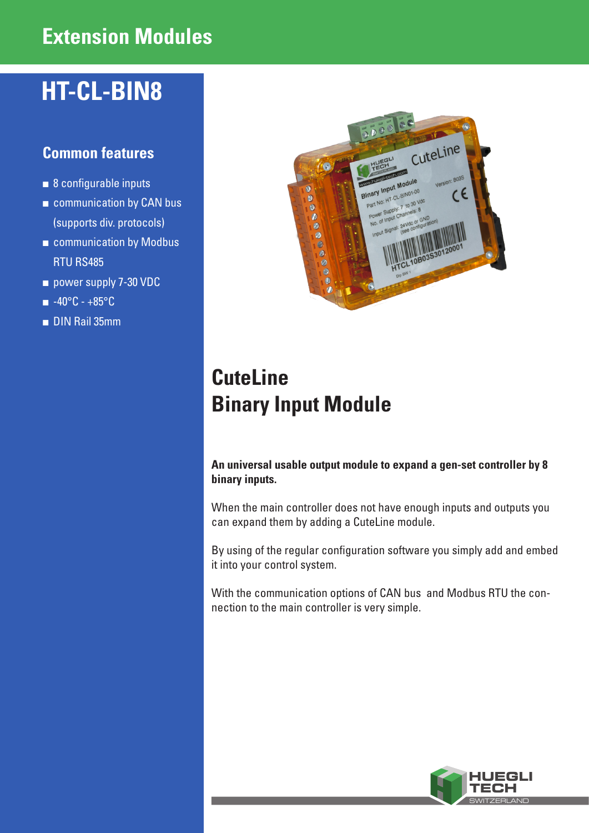## **Extension Modules**

# **HT-CL-BIN8**

### **Common features**

- 8 configurable inputs
- communication by CAN bus (supports div. protocols)
- communication by Modbus RTU RS485
- power supply 7-30 VDC
- -40°C +85°C
- DIN Rail 35mm



# **CuteLine Binary Input Module**

**An universal usable output module to expand a gen-set controller by 8 binary inputs.**

When the main controller does not have enough inputs and outputs you can expand them by adding a CuteLine module.

By using of the regular configuration software you simply add and embed it into your control system.

With the communication options of CAN bus and Modbus RTU the connection to the main controller is very simple.